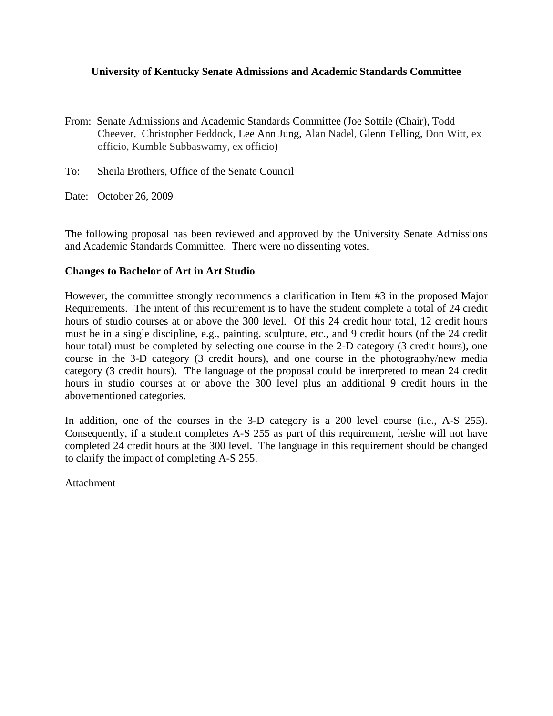## **University of Kentucky Senate Admissions and Academic Standards Committee**

- From: Senate Admissions and Academic Standards Committee (Joe Sottile (Chair), Todd Cheever, Christopher Feddock, Lee Ann Jung, Alan Nadel, Glenn Telling, Don Witt, ex officio, Kumble Subbaswamy, ex officio)
- To: Sheila Brothers, Office of the Senate Council
- Date: October 26, 2009

The following proposal has been reviewed and approved by the University Senate Admissions and Academic Standards Committee. There were no dissenting votes.

## **Changes to Bachelor of Art in Art Studio**

However, the committee strongly recommends a clarification in Item #3 in the proposed Major Requirements. The intent of this requirement is to have the student complete a total of 24 credit hours of studio courses at or above the 300 level. Of this 24 credit hour total, 12 credit hours must be in a single discipline, e.g., painting, sculpture, etc., and 9 credit hours (of the 24 credit hour total) must be completed by selecting one course in the 2-D category (3 credit hours), one course in the 3-D category (3 credit hours), and one course in the photography/new media category (3 credit hours). The language of the proposal could be interpreted to mean 24 credit hours in studio courses at or above the 300 level plus an additional 9 credit hours in the abovementioned categories.

In addition, one of the courses in the 3-D category is a 200 level course (i.e., A-S 255). Consequently, if a student completes A-S 255 as part of this requirement, he/she will not have completed 24 credit hours at the 300 level. The language in this requirement should be changed to clarify the impact of completing A-S 255.

**Attachment**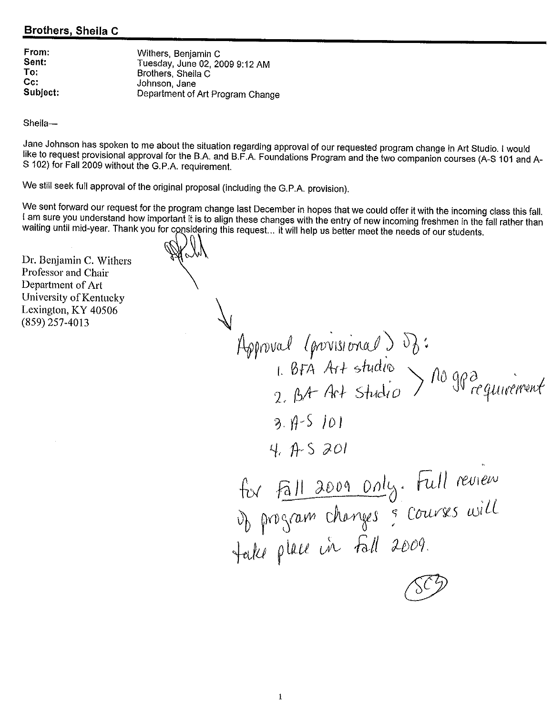# **Brothers, Sheila C**

| From:    | Withers, Benjamin C              |
|----------|----------------------------------|
| Sent:    | Tuesday, June 02, 2009 9:12 AM   |
| To:      | Brothers, Sheila C               |
| Cc:      | Johnson, Jane                    |
| Subject: | Department of Art Program Change |

Sheila-

Jane Johnson has spoken to me about the situation regarding approval of our requested program change in Art Studio. I would like to request provisional approval for the B.A. and B.F.A. Foundations Program and the two companion courses (A-S 101 and A-S 102) for Fall 2009 without the G.P.A. requirement.

We still seek full approval of the original proposal (including the G.P.A. provision).

We sent forward our request for the program change last December in hopes that we could offer it with the incoming class this fall. I am sure you understand how important it is to align these changes with the entry of new incoming freshmen in the fall rather than waiting until mid-year. Thank you for considering this request... it will help us better meet the needs of our students.

Dr. Benjamin C. Withers Professor and Chair Department of Art University of Kentucky Lexington, KY 40506  $(859)$  257-4013

Approval (provisional) du :<br>1. BFA Art studio > no gpa cequivement  $3.9 - 5.101$  $4.75201$ for Fall 2009 Only. Full review<br>Up program changes & courses will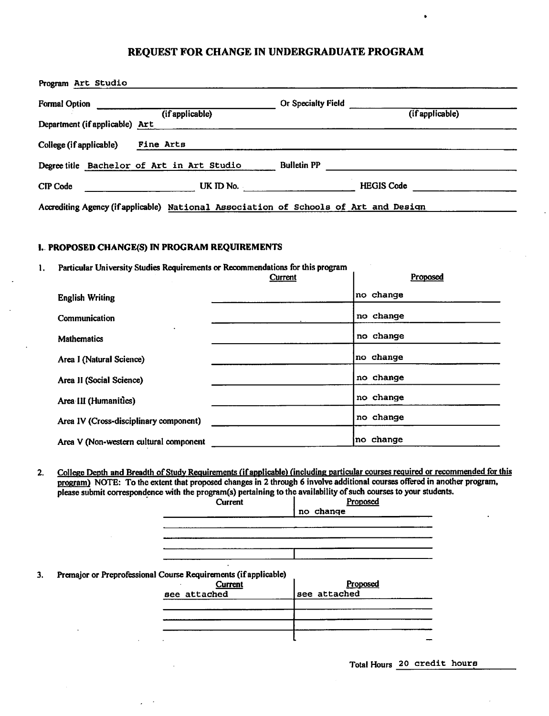## REQUEST FOR CHANGE IN UNDERGRADUATE PROGRAM

| <b>Formal Option</b>           |                                            | Or Specialty Field |                   |
|--------------------------------|--------------------------------------------|--------------------|-------------------|
| Department (if applicable) Art | (if applicable)                            |                    | (if applicable)   |
| College (if applicable)        | Fine Arts                                  |                    |                   |
|                                | Degree title Bachelor of Art in Art Studio | <b>Bulletin PP</b> |                   |
| CIP Code                       | UK ID No.                                  |                    | <b>HEGIS Code</b> |

#### I. PROPOSED CHANGE(S) IN PROGRAM REQUIREMENTS

Particular University Studies Requirements or Recommendations for this program 1.

|                                        | Current | Proposed  |
|----------------------------------------|---------|-----------|
| <b>English Writing</b>                 |         | no change |
| Communication                          |         | no change |
| <b>Mathematics</b>                     |         | no change |
| Area I (Natural Science)               |         | no change |
| Area II (Social Science)               |         | no change |
| Area III (Humanities)                  |         | no change |
| Area IV (Cross-disciplinary component) |         | no change |
| Area V (Non-western cultural component |         | no change |

College Depth and Breadth of Study Requirements (if applicable) (including particular courses required or recommended for this  $2.$ program) NOTE: To the extent that proposed changes in 2 through 6 involve additional courses offered in another program, please submit correspondence with the program(s) pertaining to the availability of such courses to your students.

| Current                                                         | Proposed     |
|-----------------------------------------------------------------|--------------|
|                                                                 | no change    |
|                                                                 |              |
|                                                                 |              |
|                                                                 |              |
|                                                                 |              |
| $\bullet$                                                       |              |
| Premajor or Preprofessional Course Requirements (if applicable) |              |
| Current                                                         | Proposed     |
| see attached                                                    | see attached |
|                                                                 |              |
|                                                                 |              |
|                                                                 |              |
|                                                                 |              |
|                                                                 |              |

Total Hours 20 credit hours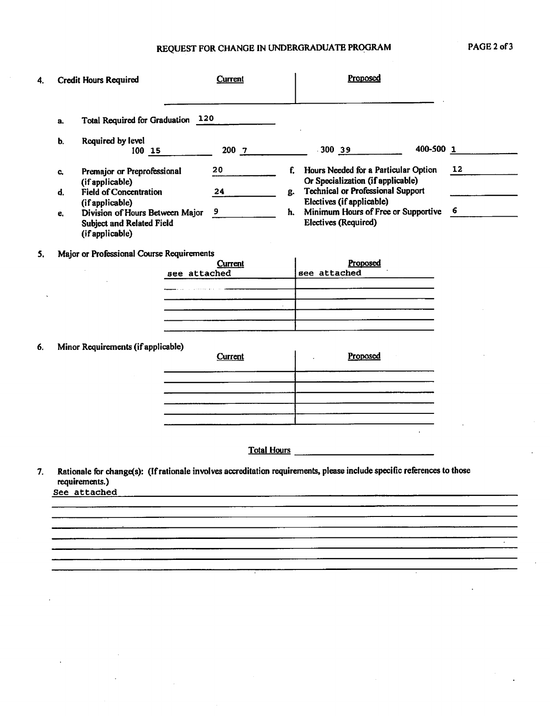# REQUEST FOR CHANGE IN UNDERGRADUATE PROGRAM

| 4. | <b>Credit Hours Required</b>                             |              | Current            |    | Proposed                                                                                                                |           |    |
|----|----------------------------------------------------------|--------------|--------------------|----|-------------------------------------------------------------------------------------------------------------------------|-----------|----|
|    | Total Required for Graduation 120<br>a.                  |              |                    |    |                                                                                                                         |           |    |
|    | Required by level<br>b.<br>100 15                        |              | $200 - 7$          |    | $-300$ 39                                                                                                               | 400-500 1 |    |
|    | Premajor or Preprofessional<br>C,                        |              | 20                 | f. | Hours Needed for a Particular Option<br>Or Specialization (if applicable)                                               |           | 12 |
|    | (if applicable)<br><b>Field of Concentration</b><br>d.   |              | 24                 | g. | <b>Technical or Professional Support</b>                                                                                |           |    |
|    | (if applicable)<br>Division of Hours Between Major<br>е. |              | 9                  | ħ. | Electives (if applicable)<br>Minimum Hours of Free or Supportive                                                        |           | 6  |
|    | <b>Subject and Related Field</b><br>(if applicable)      |              |                    |    | Electives (Required)                                                                                                    |           |    |
| 5. | Major or Professional Course Requirements                |              | Current            |    | Proposed                                                                                                                |           |    |
|    |                                                          | see attached |                    |    | see attached                                                                                                            |           |    |
|    |                                                          |              |                    |    |                                                                                                                         |           |    |
|    |                                                          |              |                    |    |                                                                                                                         |           |    |
|    |                                                          |              |                    |    |                                                                                                                         |           |    |
| 6. | Minor Requirements (if applicable)                       |              | <b>Current</b>     |    | Proposed                                                                                                                |           |    |
|    |                                                          |              |                    |    |                                                                                                                         |           |    |
|    |                                                          |              |                    |    | the contract of the contract of the contract of the contract of the contract of the contract of the contract of         |           |    |
|    |                                                          |              |                    |    |                                                                                                                         |           |    |
|    |                                                          |              |                    |    |                                                                                                                         |           |    |
|    |                                                          |              | <b>Total Hours</b> |    | <u> 1980 - Johann Barbara, martin a</u>                                                                                 |           |    |
| 7. | requirements.)<br>See attached                           |              |                    |    | Rationale for change(s): (If rationale involves accreditation requirements, please include specific references to those |           |    |
|    |                                                          |              |                    |    |                                                                                                                         |           |    |
|    |                                                          |              |                    |    |                                                                                                                         |           |    |
|    |                                                          |              |                    |    |                                                                                                                         |           |    |
|    |                                                          |              |                    |    |                                                                                                                         |           |    |
|    |                                                          |              |                    |    |                                                                                                                         |           |    |

 $\ddot{\phantom{a}}$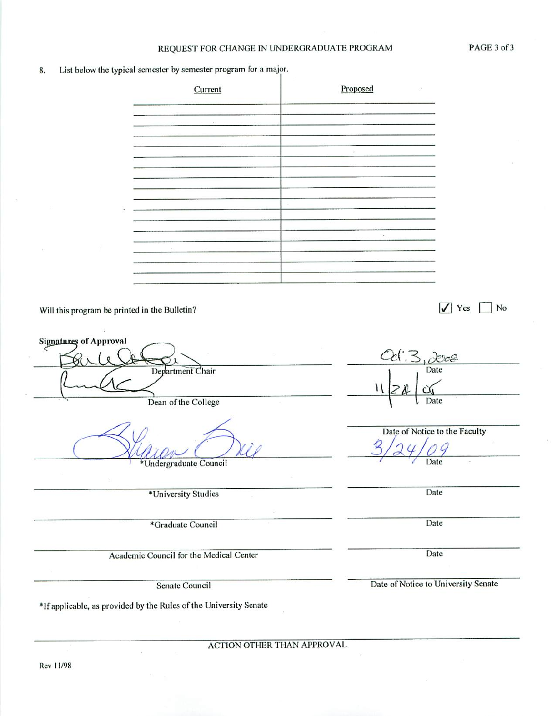#### REQUEST FOR CHANGE IN UNDERGRADUATE PROGRAM

List below the typical semester by semester program for a major. 8.

| Current                  | Proposed | 81                               |
|--------------------------|----------|----------------------------------|
|                          |          |                                  |
|                          |          |                                  |
|                          | $\sim$   |                                  |
|                          |          |                                  |
| ×                        |          |                                  |
|                          |          |                                  |
|                          | $\sim$   |                                  |
|                          |          |                                  |
|                          |          |                                  |
| printed in the Bulletin? |          | No<br>Yes<br>$\vert\cal{J}\vert$ |

Will this program be p

**Signatures of Approval**  $R$ re Date Department Chair Н Dean of the College Date Date of Notice to the Faculty Date Undergraduate Council Date \*University Studies Date \*Graduate Council Date Academic Council for the Medical Center Date of Notice to University Senate Senate Council \*If applicable, as provided by the Rules of the University Senate

**ACTION OTHER THAN APPROVAL**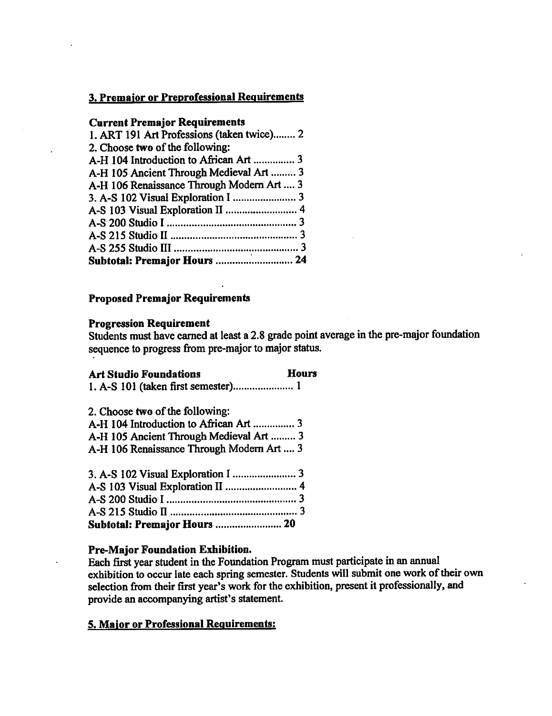# 3. Premajor or Preprofessional Requirements

## **Current Premajor Requirements**

| 1. ART 191 Art Professions (taken twice) 2 |  |
|--------------------------------------------|--|
| 2. Choose two of the following:            |  |
| A-H 104 Introduction to African Art  3     |  |
| A-H 105 Ancient Through Medieval Art  3    |  |
| A-H 106 Renaissance Through Modern Art  3  |  |
|                                            |  |
|                                            |  |
|                                            |  |
|                                            |  |
|                                            |  |
| Subtotal: Premajor Hours  24               |  |

## **Proposed Premajor Requirements**

## **Progression Requirement**

Students must have earned at least a 2.8 grade point average in the pre-major foundation sequence to progress from pre-major to major status.

## **Art Studio Foundations**

#### **Hours**

1. A-S 101 (taken first semester)........................ 1

2. Choose two of the following:

| A-H 105 Ancient Through Medieval Art  3   |  |
|-------------------------------------------|--|
| A-H 106 Renaissance Through Modern Art  3 |  |

#### Pre-Major Foundation Exhibition.

Each first year student in the Foundation Program must participate in an annual exhibition to occur late each spring semester. Students will submit one work of their own selection from their first year's work for the exhibition, present it professionally, and provide an accompanying artist's statement.

## 5. Major or Professional Requirements: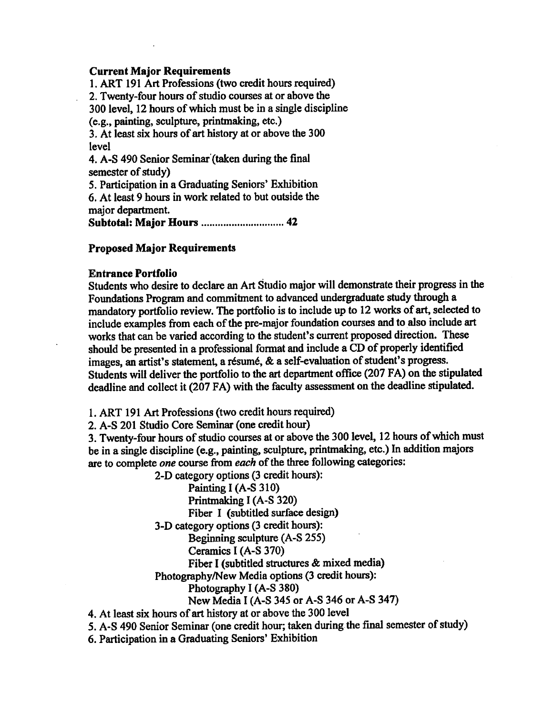## **Current Maior Requirements**

1. ART 191 Art Professions (two credit hours required) 2. Twenty-four hours of studio courses at or above the 300 level, 12 hours of which must be in a single discipline (e.g., painting, sculpture, printmaking, etc.) 3. At least six hours of art history at or above the 300 level 4. A-S 490 Senior Seminar (taken during the final semester of study) 5. Participation in a Graduating Seniors' Exhibition 6. At least 9 hours in work related to but outside the maior department.

**Subtotal: Major Hours ............................. 42** 

## **Proposed Major Requirements**

#### **Entrance Portfolio**

Students who desire to declare an Art Studio major will demonstrate their progress in the Foundations Program and commitment to advanced undergraduate study through a mandatory portfolio review. The portfolio is to include up to 12 works of art, selected to include examples from each of the pre-major foundation courses and to also include art works that can be varied according to the student's current proposed direction. These should be presented in a professional format and include a CD of properly identified images, an artist's statement, a résumé, & a self-evaluation of student's progress. Students will deliver the portfolio to the art department office (207 FA) on the stipulated deadline and collect it (207 FA) with the faculty assessment on the deadline stipulated.

1. ART 191 Art Professions (two credit hours required)

2. A-S 201 Studio Core Seminar (one credit hour)

3. Twenty-four hours of studio courses at or above the 300 level, 12 hours of which must be in a single discipline (e.g., painting, sculpture, printmaking, etc.) In addition majors are to complete one course from each of the three following categories:

2-D category options (3 credit hours):

Painting I (A-S 310) Printmaking I (A-S 320) Fiber I (subtitled surface design) 3-D category options (3 credit hours): Beginning sculpture (A-S 255) Ceramics I (A-S 370) Fiber I (subtitled structures & mixed media) Photography/New Media options (3 credit hours): Photography I (A-S 380) New Media I (A-S 345 or A-S 346 or A-S 347)

4. At least six hours of art history at or above the 300 level

5. A-S 490 Senior Seminar (one credit hour; taken during the final semester of study)

6. Participation in a Graduating Seniors' Exhibition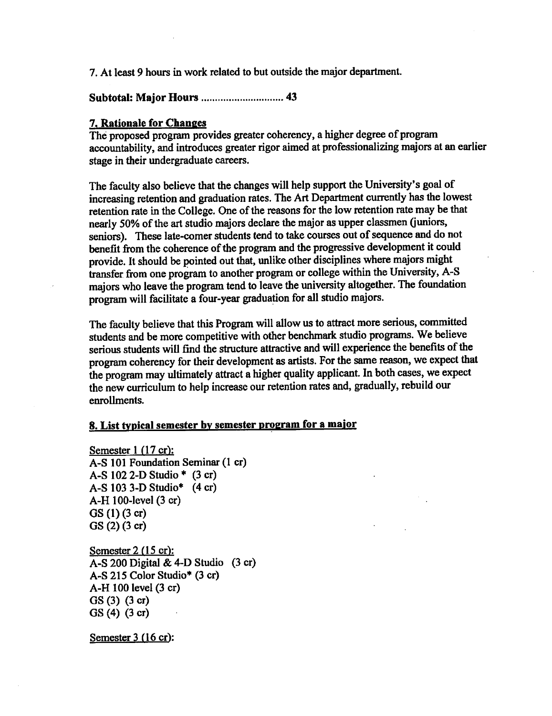7. At least 9 hours in work related to but outside the major department.

**Subtotal: Major Hours ............................. 43** 

## 7. Rationale for Changes

The proposed program provides greater coherency, a higher degree of program accountability, and introduces greater rigor aimed at professionalizing majors at an earlier stage in their undergraduate careers.

The faculty also believe that the changes will help support the University's goal of increasing retention and graduation rates. The Art Department currently has the lowest retention rate in the College. One of the reasons for the low retention rate may be that nearly 50% of the art studio majors declare the major as upper classmen (juniors, seniors). These late-comer students tend to take courses out of sequence and do not benefit from the coherence of the program and the progressive development it could provide. It should be pointed out that, unlike other disciplines where majors might transfer from one program to another program or college within the University, A-S majors who leave the program tend to leave the university altogether. The foundation program will facilitate a four-year graduation for all studio majors.

The faculty believe that this Program will allow us to attract more serious, committed students and be more competitive with other benchmark studio programs. We believe serious students will find the structure attractive and will experience the benefits of the program coherency for their development as artists. For the same reason, we expect that the program may ultimately attract a higher quality applicant. In both cases, we expect the new curriculum to help increase our retention rates and, gradually, rebuild our enrollments.

# 8. List typical semester by semester program for a major

Semester  $1(17 \text{ cr})$ : A-S 101 Foundation Seminar (1 cr) A-S  $102$  2-D Studio \*  $(3 \text{ cr})$  $A-S$  103 3-D Studio\* (4 cr) A-H 100-level (3 cr)  $GS(1)(3 cr)$  $GS(2) (3 cr)$ 

Semester  $2(15 \text{ cr})$ :  $A-S$  200 Digital & 4-D Studio  $(3 \text{ cr})$ A-S 215 Color Studio\* (3 cr) A-H 100 level (3 cr)  $GS(3)$   $(3 \text{ cr})$  $GS(4)$  (3 cr)

Semester  $3(16 \text{ cr})$ :